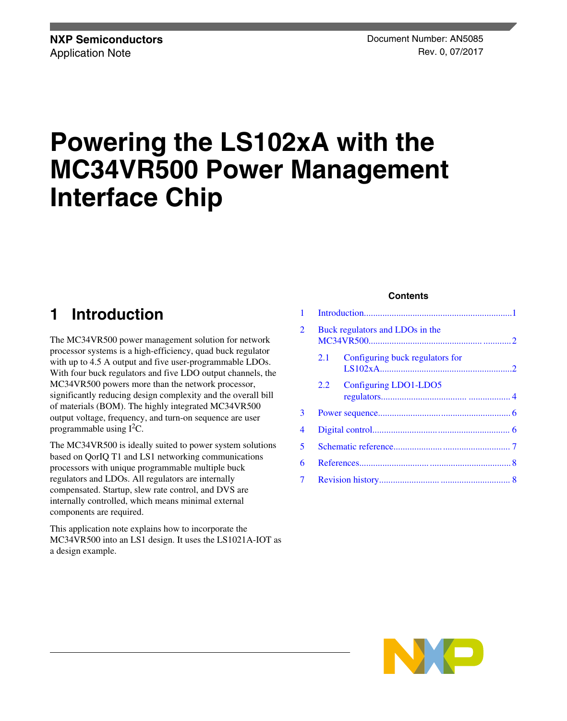# **Powering the LS102xA with the MC34VR500 Power Management Interface Chip**

# **1 Introduction**

The MC34VR500 power management solution for network processor systems is a high-efficiency, quad buck regulator with up to 4.5 A output and five user-programmable LDOs. With four buck regulators and five LDO output channels, the MC34VR500 powers more than the network processor, significantly reducing design complexity and the overall bill of materials (BOM). The highly integrated MC34VR500 output voltage, frequency, and turn-on sequence are user programmable using  $I<sup>2</sup>C$ .

The MC34VR500 is ideally suited to power system solutions based on QorIQ T1 and LS1 networking communications processors with unique programmable multiple buck regulators and LDOs. All regulators are internally compensated. Startup, slew rate control, and DVS are internally controlled, which means minimal external components are required.

This application note explains how to incorporate the MC34VR500 into an LS1 design. It uses the LS1021A-IOT as a design example.

#### **Contents**

| 2 |     | Buck regulators and LDOs in the |  |
|---|-----|---------------------------------|--|
|   | 2.1 | Configuring buck regulators for |  |
|   | 2.2 | Configuring LDO1-LDO5           |  |
| 3 |     |                                 |  |
| 4 |     |                                 |  |
| 5 |     |                                 |  |
| 6 |     |                                 |  |
| 7 |     |                                 |  |

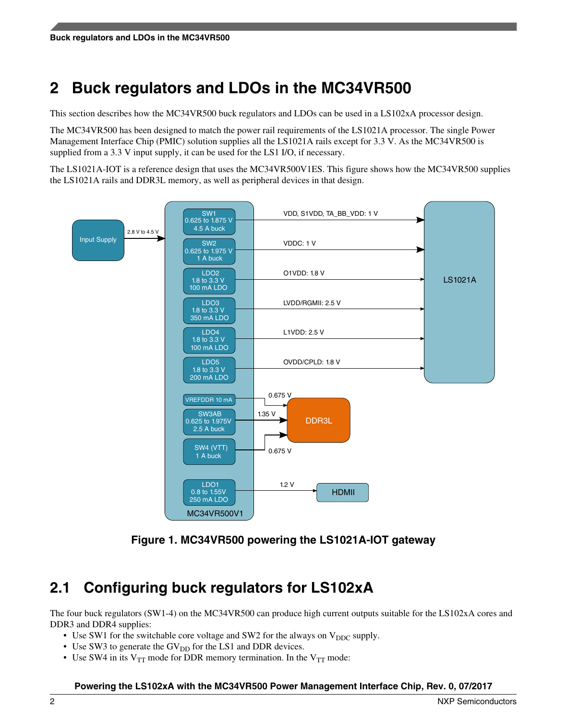# <span id="page-1-0"></span>**2 Buck regulators and LDOs in the MC34VR500**

This section describes how the MC34VR500 buck regulators and LDOs can be used in a LS102xA processor design.

The MC34VR500 has been designed to match the power rail requirements of the LS1021A processor. The single Power Management Interface Chip (PMIC) solution supplies all the LS1021A rails except for 3.3 V. As the MC34VR500 is supplied from a 3.3 V input supply, it can be used for the LS1 I/O, if necessary.

The LS1021A-IOT is a reference design that uses the MC34VR500V1ES. This figure shows how the MC34VR500 supplies the LS1021A rails and DDR3L memory, as well as peripheral devices in that design.



**Figure 1. MC34VR500 powering the LS1021A-IOT gateway**

# **2.1 Configuring buck regulators for LS102xA**

The four buck regulators (SW1-4) on the MC34VR500 can produce high current outputs suitable for the LS102xA cores and DDR3 and DDR4 supplies:

- Use SW1 for the switchable core voltage and SW2 for the always on  $V_{\text{DDC}}$  supply.
- Use SW3 to generate the  $GV<sub>DD</sub>$  for the LS1 and DDR devices.
- Use SW4 in its  $V_{TT}$  mode for DDR memory termination. In the  $V_{TT}$  mode: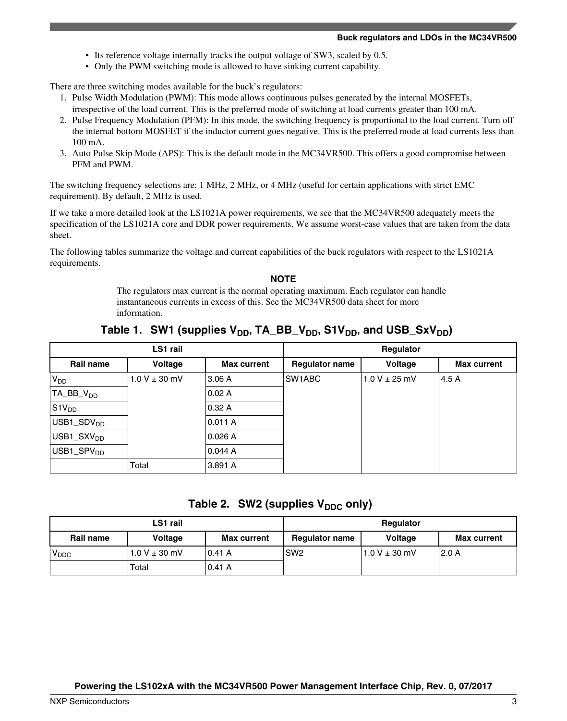- Its reference voltage internally tracks the output voltage of SW3, scaled by 0.5.
- Only the PWM switching mode is allowed to have sinking current capability.

There are three switching modes available for the buck's regulators:

- 1. Pulse Width Modulation (PWM): This mode allows continuous pulses generated by the internal MOSFETs, irrespective of the load current. This is the preferred mode of switching at load currents greater than 100 mA.
- 2. Pulse Frequency Modulation (PFM): In this mode, the switching frequency is proportional to the load current. Turn off the internal bottom MOSFET if the inductor current goes negative. This is the preferred mode at load currents less than 100 mA.
- 3. Auto Pulse Skip Mode (APS): This is the default mode in the MC34VR500. This offers a good compromise between PFM and PWM.

The switching frequency selections are: 1 MHz, 2 MHz, or 4 MHz (useful for certain applications with strict EMC requirement). By default, 2 MHz is used.

If we take a more detailed look at the LS1021A power requirements, we see that the MC34VR500 adequately meets the specification of the LS1021A core and DDR power requirements. We assume worst-case values that are taken from the data sheet.

The following tables summarize the voltage and current capabilities of the buck regulators with respect to the LS1021A requirements.

#### **NOTE**

The regulators max current is the normal operating maximum. Each regulator can handle instantaneous currents in excess of this. See the MC34VR500 data sheet for more information.

| LS1 rail                              |                   |                    | Regulator             |                   |                    |
|---------------------------------------|-------------------|--------------------|-----------------------|-------------------|--------------------|
| Rail name                             | Voltage           | <b>Max current</b> | <b>Regulator name</b> | Voltage           | <b>Max current</b> |
| $V_{DD}$                              | $1.0 V \pm 30$ mV | 3.06A              | SW1ABC                | $1.0 V \pm 25 mV$ | 4.5 A              |
| $TA$ $BB$ <sub>DD</sub>               |                   | 0.02A              |                       |                   |                    |
| $ $ S1V <sub>DD</sub>                 |                   | 0.32A              |                       |                   |                    |
| USB1_SDV <sub>DD</sub>                |                   | 0.011 A            |                       |                   |                    |
| $USB1$ <sub>_</sub> SXV <sub>DD</sub> |                   | 0.026A             |                       |                   |                    |
| USB1_SPV <sub>DD</sub>                |                   | 0.044A             |                       |                   |                    |
|                                       | Total             | 3.891 A            |                       |                   |                    |

Table 1. SW1 (supplies  $V_{DD}$ , TA\_BB\_ $V_{DD}$ , S1 $V_{DD}$ , and USB\_Sx $V_{DD}$ )

|  |  | Table 2. SW2 (supplies V <sub>DDC</sub> only) |  |  |
|--|--|-----------------------------------------------|--|--|
|--|--|-----------------------------------------------|--|--|

| LS1 rail          |                   |                    | Regulator             |                   |                    |
|-------------------|-------------------|--------------------|-----------------------|-------------------|--------------------|
| Rail name         | Voltage           | <b>Max current</b> | <b>Regulator name</b> | <b>Voltage</b>    | <b>Max current</b> |
| 'V <sub>DDC</sub> | $1.0 V \pm 30$ mV | 10.41 A            | SW <sub>2</sub>       | 1.0 V $\pm$ 30 mV | 12.0 A             |
|                   | Total             | 0.41 A             |                       |                   |                    |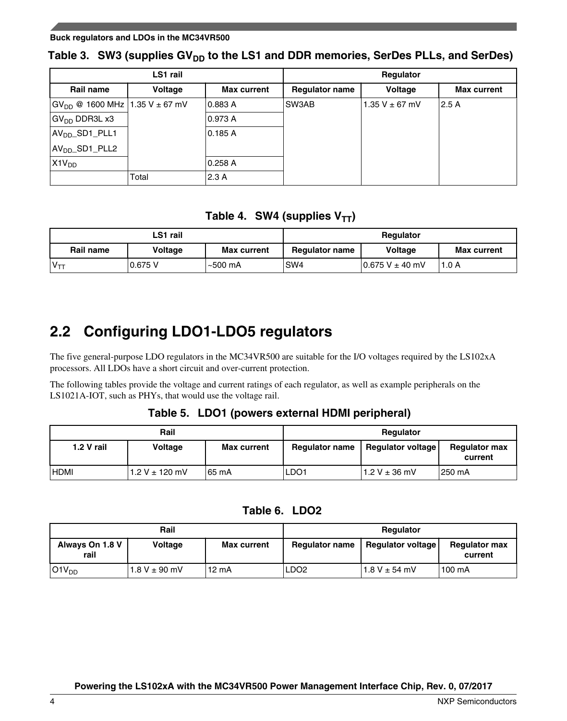#### <span id="page-3-0"></span>**Buck regulators and LDOs in the MC34VR500**

### Table 3. SW3 (supplies GV<sub>DD</sub> to the LS1 and DDR memories, SerDes PLLs, and SerDes)

| LS1 rail                              |         |                    | Regulator             |                    |                    |
|---------------------------------------|---------|--------------------|-----------------------|--------------------|--------------------|
| Rail name                             | Voltage | <b>Max current</b> | <b>Regulator name</b> | Voltage            | <b>Max current</b> |
| $GV_{DD}$ @ 1600 MHz   1.35 V ± 67 mV |         | 0.883 A            | SW3AB                 | 1.35 V $\pm$ 67 mV | 2.5 A              |
| GV <sub>DD</sub> DDR3L x3             |         | 0.973 A            |                       |                    |                    |
| AV <sub>DD</sub> _SD1_PLL1            |         | 0.185A             |                       |                    |                    |
| AV <sub>DD</sub> _SD1_PLL2            |         |                    |                       |                    |                    |
| X1V <sub>DD</sub>                     |         | 0.258A             |                       |                    |                    |
|                                       | Total   | 2.3A               |                       |                    |                    |

### Table 4. SW4 (supplies  $V_{TT}$ )

| LS1 rail  |         |                    | Regulator             |                       |                    |
|-----------|---------|--------------------|-----------------------|-----------------------|--------------------|
| Rail name | Voltage | <b>Max current</b> | <b>Regulator name</b> | <b>Voltage</b>        | <b>Max current</b> |
|           | 0.675 V | $\sim$ 500 mA      | SW <sub>4</sub>       | $0.675$ V $\pm$ 40 mV | 1.0 A              |

## **2.2 Configuring LDO1-LDO5 regulators**

The five general-purpose LDO regulators in the MC34VR500 are suitable for the I/O voltages required by the LS102xA processors. All LDOs have a short circuit and over-current protection.

The following tables provide the voltage and current ratings of each regulator, as well as example peripherals on the LS1021A-IOT, such as PHYs, that would use the voltage rail.

### **Table 5. LDO1 (powers external HDMI peripheral)**

|              | Rail           |                    | <b>Regulator</b>      |                   |                                 |
|--------------|----------------|--------------------|-----------------------|-------------------|---------------------------------|
| $1.2 V$ rail | <b>Voltage</b> | <b>Max current</b> | <b>Regulator name</b> | Regulator voltage | <b>Regulator max</b><br>current |
| <b>HDMI</b>  | 1.2 V ± 120 mV | 65 mA              | LDO <sub>1</sub>      | 1.2 V $\pm$ 36 mV | 1250 mA                         |

### **Table 6. LDO2**

|                         | Rail              |                    | Regulator             |                   |                                 |
|-------------------------|-------------------|--------------------|-----------------------|-------------------|---------------------------------|
| Always On 1.8 V<br>rail | Voltage           | <b>Max current</b> | <b>Regulator name</b> | Regulator voltage | <b>Regulator max</b><br>current |
| O1V <sub>DD</sub>       | $1.8 V \pm 90$ mV | 12 mA              | LDO <sub>2</sub>      | $1.8 V \pm 54$ mV | 100 mA                          |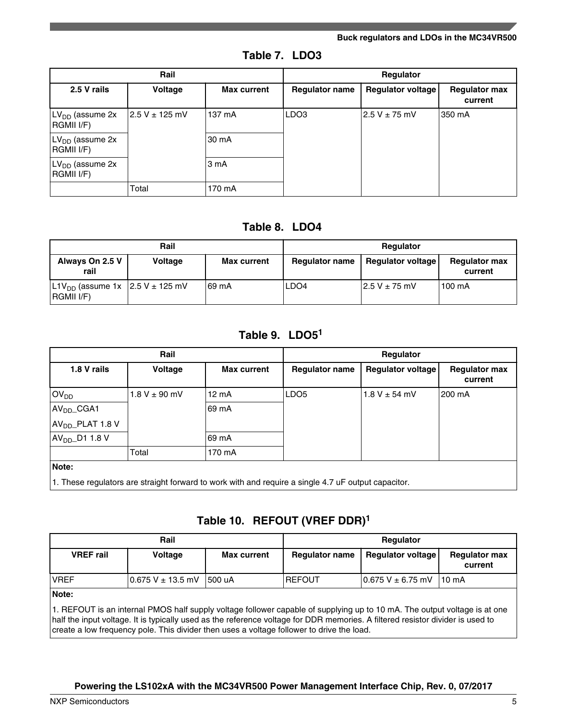#### **Buck regulators and LDOs in the MC34VR500**

| Table 7. LDO3 |  |  |
|---------------|--|--|
|---------------|--|--|

|                                           | Rail            |                    | Regulator             |                     |                                 |
|-------------------------------------------|-----------------|--------------------|-----------------------|---------------------|---------------------------------|
| 2.5 V rails                               | Voltage         | <b>Max current</b> | <b>Regulator name</b> | Regulator voltage   | <b>Regulator max</b><br>current |
| $LVDD$ (assume 2x<br>RGMII I/F)           | 12.5 V ± 125 mV | 137 mA             | LDO <sub>3</sub>      | $2.5$ V $\pm$ 75 mV | 350 mA                          |
| LV <sub>DD</sub> (assume 2x<br>RGMII I/F) |                 | 30 mA              |                       |                     |                                 |
| $LVDD$ (assume 2x<br>RGMII I/F)           |                 | 3 <sub>m</sub> A   |                       |                     |                                 |
|                                           | Total           | 170 mA             |                       |                     |                                 |

### **Table 8. LDO4**

|                                                           | Rail           |                    | Regulator             |                          |                                 |
|-----------------------------------------------------------|----------------|--------------------|-----------------------|--------------------------|---------------------------------|
| Always On 2.5 V<br>rail                                   | <b>Voltage</b> | <b>Max current</b> | <b>Regulator name</b> | <b>Regulator voltage</b> | <b>Regulator max</b><br>current |
| $ L1V_{DD}$ (assume 1x $ 2.5 V \pm 125 mV$<br> RGMII I/F) |                | ∣69 mA             | LDO <sub>4</sub>      | $12.5$ V $\pm$ 75 mV     | 100 mA                          |

### **Table 9. LDO5<sup>1</sup>**

| Rail                         |                   |                    | Regulator             |                   |                                 |  |
|------------------------------|-------------------|--------------------|-----------------------|-------------------|---------------------------------|--|
| 1.8 V rails                  | Voltage           | <b>Max current</b> | <b>Regulator name</b> | Regulator voltage | <b>Regulator max</b><br>current |  |
| OV <sub>DD</sub>             | $1.8 V \pm 90$ mV | $12 \text{ mA}$    | LDO <sub>5</sub>      | $1.8 V \pm 54$ mV | 200 mA                          |  |
| AV <sub>DD</sub> _CGA1       |                   | 69 mA              |                       |                   |                                 |  |
| AV <sub>DD</sub> _PLAT 1.8 V |                   |                    |                       |                   |                                 |  |
| $AVDD$ D1 1.8 V              |                   | 69 mA              |                       |                   |                                 |  |
|                              | Total             | 170 mA             |                       |                   |                                 |  |
| Note:                        |                   |                    |                       |                   |                                 |  |

1. These regulators are straight forward to work with and require a single 4.7 uF output capacitor.

### **Table 10. REFOUT (VREF DDR)<sup>1</sup>**

| Rail                                                                                                                      |                         |                    | Regulator             |                         |                                 |
|---------------------------------------------------------------------------------------------------------------------------|-------------------------|--------------------|-----------------------|-------------------------|---------------------------------|
| <b>VREF</b> rail                                                                                                          | <b>Voltage</b>          | <b>Max current</b> | <b>Regulator name</b> | Regulator voltage       | <b>Regulator max</b><br>current |
| <b>VREF</b>                                                                                                               | $0.675$ V $\pm$ 13.5 mV | 1500 uA            | <b>REFOUT</b>         | $0.675$ V $\pm$ 6.75 mV | $110 \text{ mA}$                |
| Note:                                                                                                                     |                         |                    |                       |                         |                                 |
| 1. REFOUT is an internal PMOS half supply voltage follower capable of supplying up to 10 mA. The output voltage is at one |                         |                    |                       |                         |                                 |

half the input voltage. It is typically used as the reference voltage for DDR memories. A filtered resistor divider is used to create a low frequency pole. This divider then uses a voltage follower to drive the load.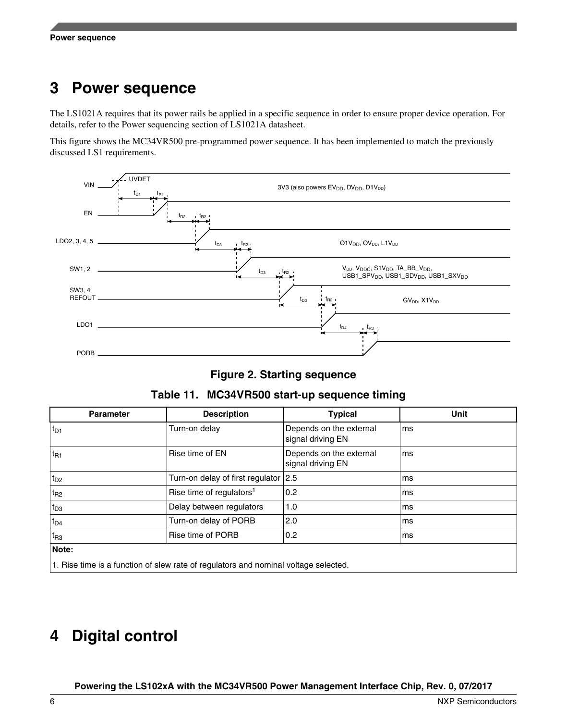# <span id="page-5-0"></span>**3 Power sequence**

The LS1021A requires that its power rails be applied in a specific sequence in order to ensure proper device operation. For details, refer to the Power sequencing section of LS1021A datasheet.

This figure shows the MC34VR500 pre-programmed power sequence. It has been implemented to match the previously discussed LS1 requirements.





|  | Table 11. MC34VR500 start-up sequence timing |  |
|--|----------------------------------------------|--|
|--|----------------------------------------------|--|

| <b>Parameter</b>                                                                    | <b>Description</b>                   | <b>Typical</b>                               | <b>Unit</b> |
|-------------------------------------------------------------------------------------|--------------------------------------|----------------------------------------------|-------------|
| $t_{D1}$                                                                            | Turn-on delay                        | Depends on the external<br>signal driving EN | ms          |
| $t_{R1}$                                                                            | Rise time of EN                      | Depends on the external<br>signal driving EN | ms          |
| $t_{D2}$                                                                            | Turn-on delay of first regulator 2.5 |                                              | ms          |
| $t_{R2}$                                                                            | Rise time of regulators <sup>1</sup> | 0.2                                          | ms          |
| $t_{D3}$                                                                            | Delay between regulators             | 1.0                                          | ms          |
| $t_{D4}$                                                                            | Turn-on delay of PORB                | 2.0                                          | ms          |
| $t_{R3}$                                                                            | Rise time of PORB                    | 0.2                                          | ms          |
| Note:                                                                               |                                      |                                              |             |
| 1. Rise time is a function of slew rate of regulators and nominal voltage selected. |                                      |                                              |             |

# **4 Digital control**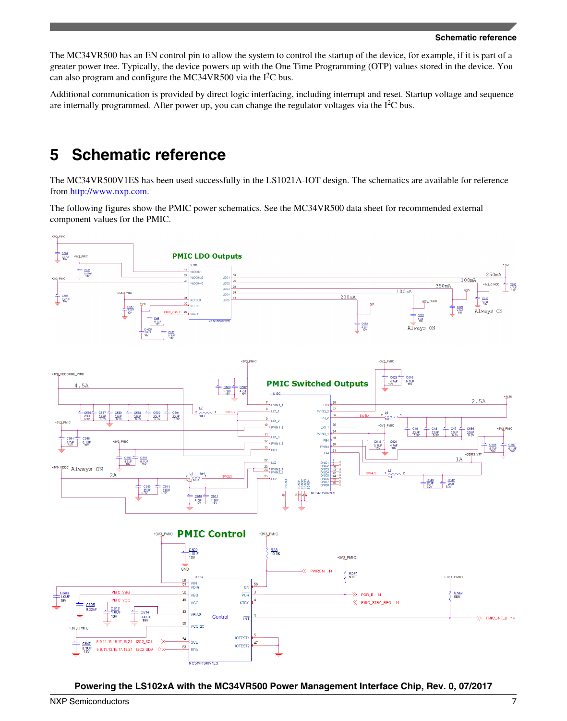<span id="page-6-0"></span>The MC34VR500 has an EN control pin to allow the system to control the startup of the device, for example, if it is part of a greater power tree. Typically, the device powers up with the One Time Programming (OTP) values stored in the device. You can also program and configure the MC34VR500 via the  $I<sup>2</sup>C$  bus.

Additional communication is provided by direct logic interfacing, including interrupt and reset. Startup voltage and sequence are internally programmed. After power up, you can change the regulator voltages via the  $I<sup>2</sup>C$  bus.

### **5 Schematic reference**

The MC34VR500V1ES has been used successfully in the LS1021A-IOT design. The schematics are available for reference from [http://www.nxp.com.](http://www.nxp.com)

The following figures show the PMIC power schematics. See the MC34VR500 data sheet for recommended external component values for the PMIC.

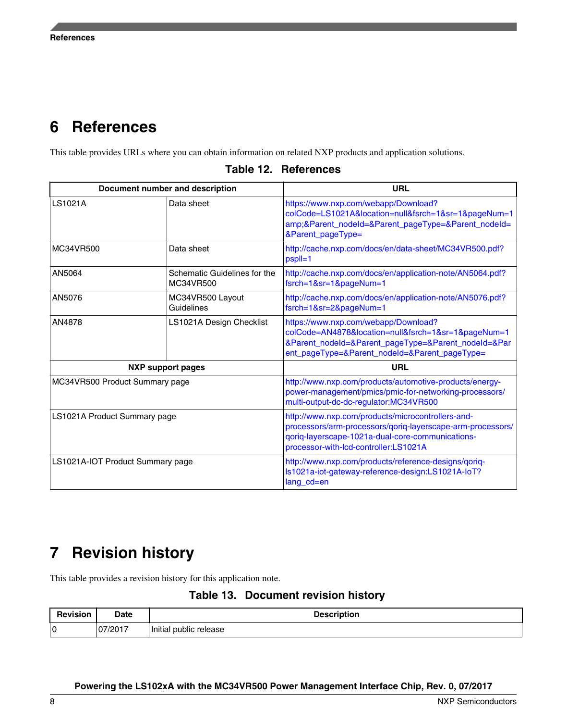### <span id="page-7-0"></span>**6 References**

This table provides URLs where you can obtain information on related NXP products and application solutions.

| Document number and description  |                                           | <b>URL</b>                                                                                                                                                                                                   |  |
|----------------------------------|-------------------------------------------|--------------------------------------------------------------------------------------------------------------------------------------------------------------------------------------------------------------|--|
| <b>LS1021A</b>                   | Data sheet                                | https://www.nxp.com/webapp/Download?<br>colCode=LS1021A&location=null&fsrch=1&sr=1&pageNum=1<br>amp;&Parent_nodeId=&Parent_pageType=&Parent_nodeId=<br>&Parent_pageType=                                     |  |
| MC34VR500                        | Data sheet                                | http://cache.nxp.com/docs/en/data-sheet/MC34VR500.pdf?<br>pspll=1                                                                                                                                            |  |
| AN5064                           | Schematic Guidelines for the<br>MC34VR500 | http://cache.nxp.com/docs/en/application-note/AN5064.pdf?<br>fsrch=1&sr=1&pageNum=1                                                                                                                          |  |
| AN5076                           | MC34VR500 Layout<br>Guidelines            | http://cache.nxp.com/docs/en/application-note/AN5076.pdf?<br>fsrch=1&sr=2&pageNum=1                                                                                                                          |  |
| AN4878                           | LS1021A Design Checklist                  | https://www.nxp.com/webapp/Download?<br>colCode=AN4878&location=null&fsrch=1&sr=1&pageNum=1<br>&Parent_nodeId=&Parent_pageType=&Parent_nodeId=&Par<br>ent_pageType=&Parent_nodeId=&Parent_pageType=          |  |
|                                  | <b>NXP</b> support pages                  | <b>URL</b>                                                                                                                                                                                                   |  |
| MC34VR500 Product Summary page   |                                           | http://www.nxp.com/products/automotive-products/energy-<br>power-management/pmics/pmic-for-networking-processors/<br>multi-output-dc-dc-regulator:MC34VR500                                                  |  |
| LS1021A Product Summary page     |                                           | http://www.nxp.com/products/microcontrollers-and-<br>processors/arm-processors/qoriq-layerscape-arm-processors/<br>qoriq-layerscape-1021a-dual-core-communications-<br>processor-with-lcd-controller:LS1021A |  |
| LS1021A-IOT Product Summary page |                                           | http://www.nxp.com/products/reference-designs/qoriq-<br>Is1021a-iot-gateway-reference-design:LS1021A-IoT?<br>lang_cd=en                                                                                      |  |

**Table 12. References**

# **7 Revision history**

This table provides a revision history for this application note.

|  | Table 13. Document revision history |  |
|--|-------------------------------------|--|
|--|-------------------------------------|--|

| <b>Revision</b> | Date   | <b>Description</b>            |
|-----------------|--------|-------------------------------|
| 10              | 7/2017 | .<br>  Initial public release |